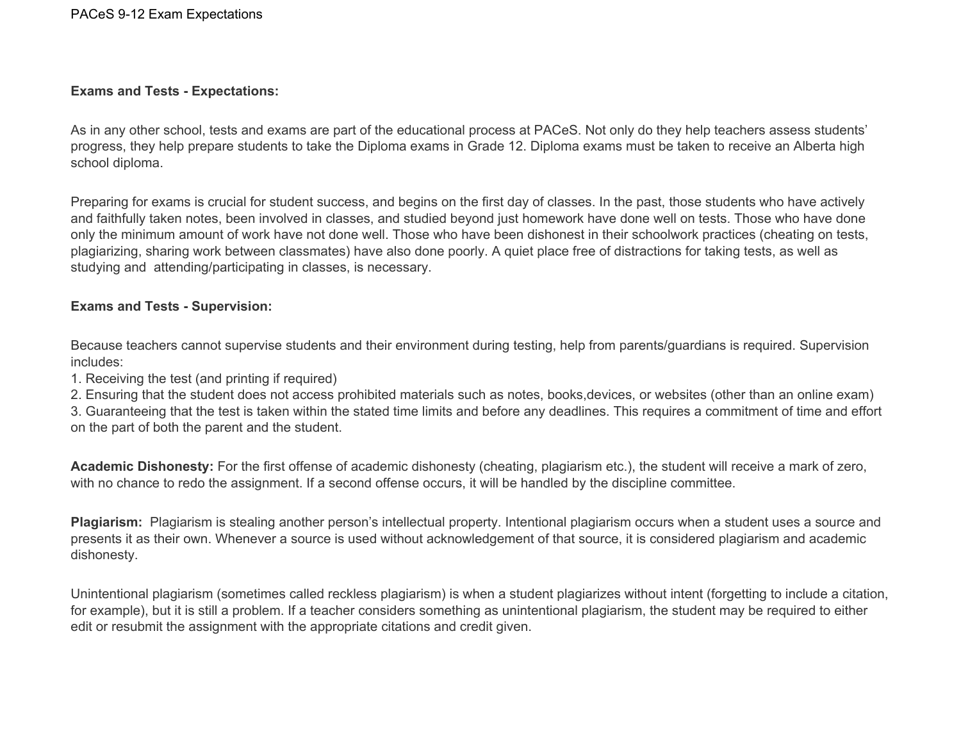## **Exams and Tests - Expectations:**

As in any other school, tests and exams are part of the educational process at PACeS. Not only do they help teachers assess students' progress, they help prepare students to take the Diploma exams in Grade 12. Diploma exams must be taken to receive an Alberta high school diploma.

Preparing for exams is crucial for student success, and begins on the first day of classes. In the past, those students who have actively and faithfully taken notes, been involved in classes, and studied beyond just homework have done well on tests. Those who have done only the minimum amount of work have not done well. Those who have been dishonest in their schoolwork practices (cheating on tests, plagiarizing, sharing work between classmates) have also done poorly. A quiet place free of distractions for taking tests, as well as studying and attending/participating in classes, is necessary.

## **Exams and Tests - Supervision:**

Because teachers cannot supervise students and their environment during testing, help from parents/guardians is required. Supervision includes:

1. Receiving the test (and printing if required)

2. Ensuring that the student does not access prohibited materials such as notes, books,devices, or websites (other than an online exam)

3. Guaranteeing that the test is taken within the stated time limits and before any deadlines. This requires a commitment of time and effort on the part of both the parent and the student.

**Academic Dishonesty:** For the first offense of academic dishonesty (cheating, plagiarism etc.), the student will receive a mark of zero, with no chance to redo the assignment. If a second offense occurs, it will be handled by the discipline committee.

**Plagiarism:** Plagiarism is stealing another person's intellectual property. Intentional plagiarism occurs when a student uses a source and presents it as their own. Whenever a source is used without acknowledgement of that source, it is considered plagiarism and academic dishonesty.

Unintentional plagiarism (sometimes called reckless plagiarism) is when a student plagiarizes without intent (forgetting to include a citation, for example), but it is still a problem. If a teacher considers something as unintentional plagiarism, the student may be required to either edit or resubmit the assignment with the appropriate citations and credit given.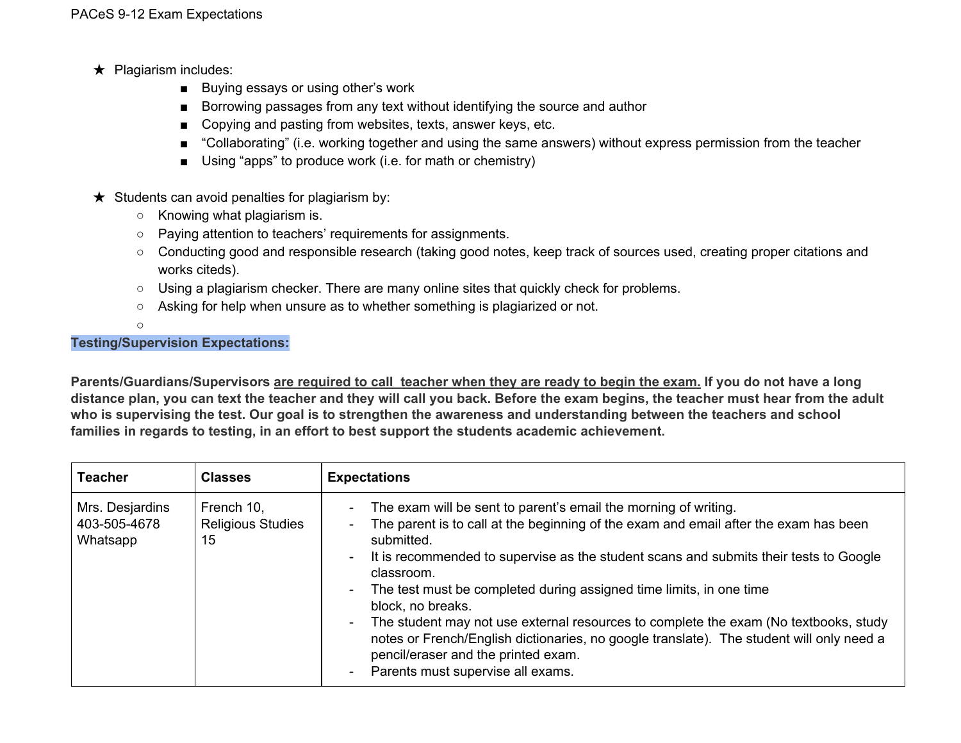- ★ Plagiarism includes:
	- Buying essays or using other's work
	- Borrowing passages from any text without identifying the source and author
	- Copying and pasting from websites, texts, answer keys, etc.
	- "Collaborating" (i.e. working together and using the same answers) without express permission from the teacher
	- Using "apps" to produce work (i.e. for math or chemistry)
- $\star$  Students can avoid penalties for plagiarism by:
	- Knowing what plagiarism is.
	- Paying attention to teachers' requirements for assignments.
	- Conducting good and responsible research (taking good notes, keep track of sources used, creating proper citations and works citeds).
	- Using a plagiarism checker. There are many online sites that quickly check for problems.
	- Asking for help when unsure as to whether something is plagiarized or not.
	- $\circ$

## **Testing/Supervision Expectations:**

Parents/Guardians/Supervisors are required to call teacher when they are ready to begin the exam. If you do not have a long distance plan, you can text the teacher and they will call you back. Before the exam begins, the teacher must hear from the adult who is supervising the test. Our goal is to strengthen the awareness and understanding between the teachers and school **families in regards to testing, in an effort to best support the students academic achievement.**

| <b>Teacher</b>                              | <b>Classes</b>                               | <b>Expectations</b>                                                                                                                                                                                                                                                                                                                                                                                                                                                                                                                                                                                                                                        |
|---------------------------------------------|----------------------------------------------|------------------------------------------------------------------------------------------------------------------------------------------------------------------------------------------------------------------------------------------------------------------------------------------------------------------------------------------------------------------------------------------------------------------------------------------------------------------------------------------------------------------------------------------------------------------------------------------------------------------------------------------------------------|
| Mrs. Desjardins<br>403-505-4678<br>Whatsapp | French 10,<br><b>Religious Studies</b><br>15 | The exam will be sent to parent's email the morning of writing.<br>The parent is to call at the beginning of the exam and email after the exam has been<br>submitted.<br>It is recommended to supervise as the student scans and submits their tests to Google<br>classroom.<br>The test must be completed during assigned time limits, in one time<br>block, no breaks.<br>The student may not use external resources to complete the exam (No textbooks, study<br>$\blacksquare$<br>notes or French/English dictionaries, no google translate). The student will only need a<br>pencil/eraser and the printed exam.<br>Parents must supervise all exams. |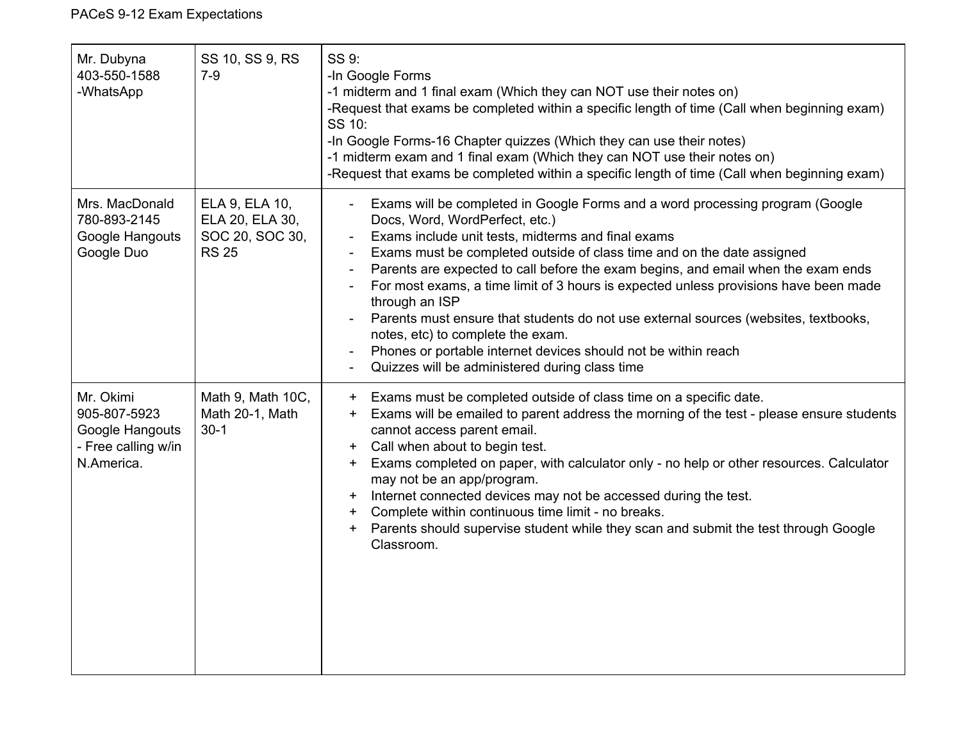| Mr. Dubyna<br>403-550-1588<br>-WhatsApp                                           | SS 10, SS 9, RS<br>$7-9$                                             | SS 9:<br>-In Google Forms<br>-1 midterm and 1 final exam (Which they can NOT use their notes on)<br>-Request that exams be completed within a specific length of time (Call when beginning exam)<br>SS 10:<br>-In Google Forms-16 Chapter quizzes (Which they can use their notes)<br>-1 midterm exam and 1 final exam (Which they can NOT use their notes on)<br>-Request that exams be completed within a specific length of time (Call when beginning exam)                                                                                                                                                                                                                                                             |
|-----------------------------------------------------------------------------------|----------------------------------------------------------------------|----------------------------------------------------------------------------------------------------------------------------------------------------------------------------------------------------------------------------------------------------------------------------------------------------------------------------------------------------------------------------------------------------------------------------------------------------------------------------------------------------------------------------------------------------------------------------------------------------------------------------------------------------------------------------------------------------------------------------|
| Mrs. MacDonald<br>780-893-2145<br>Google Hangouts<br>Google Duo                   | ELA 9, ELA 10,<br>ELA 20, ELA 30,<br>SOC 20, SOC 30,<br><b>RS 25</b> | Exams will be completed in Google Forms and a word processing program (Google<br>Docs, Word, WordPerfect, etc.)<br>Exams include unit tests, midterms and final exams<br>Exams must be completed outside of class time and on the date assigned<br>Parents are expected to call before the exam begins, and email when the exam ends<br>For most exams, a time limit of 3 hours is expected unless provisions have been made<br>through an ISP<br>Parents must ensure that students do not use external sources (websites, textbooks,<br>notes, etc) to complete the exam.<br>Phones or portable internet devices should not be within reach<br>$\overline{\phantom{a}}$<br>Quizzes will be administered during class time |
| Mr. Okimi<br>905-807-5923<br>Google Hangouts<br>- Free calling w/in<br>N.America. | Math 9, Math 10C,<br>Math 20-1, Math<br>$30-1$                       | Exams must be completed outside of class time on a specific date.<br>$+$<br>Exams will be emailed to parent address the morning of the test - please ensure students<br>$+$<br>cannot access parent email.<br>Call when about to begin test.<br>$+$<br>Exams completed on paper, with calculator only - no help or other resources. Calculator<br>$\pm$<br>may not be an app/program.<br>Internet connected devices may not be accessed during the test.<br>$\pm$<br>Complete within continuous time limit - no breaks.<br>$\pm$<br>Parents should supervise student while they scan and submit the test through Google<br>$\pm$<br>Classroom.                                                                             |